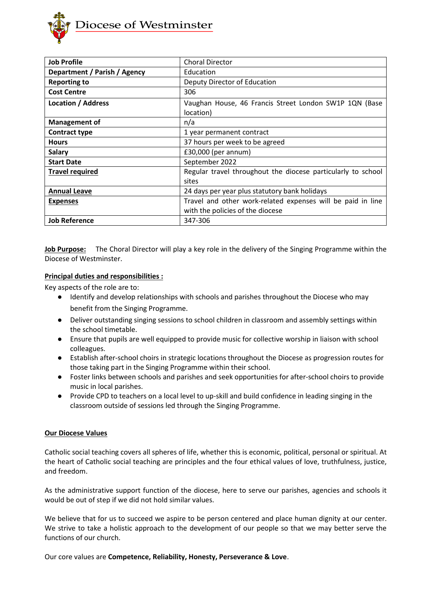

| <b>Job Profile</b>           | <b>Choral Director</b>                                       |
|------------------------------|--------------------------------------------------------------|
| Department / Parish / Agency | Education                                                    |
| <b>Reporting to</b>          | Deputy Director of Education                                 |
| <b>Cost Centre</b>           | 306                                                          |
| <b>Location / Address</b>    | Vaughan House, 46 Francis Street London SW1P 1QN (Base       |
|                              | location)                                                    |
| <b>Management of</b>         | n/a                                                          |
| <b>Contract type</b>         | 1 year permanent contract                                    |
| <b>Hours</b>                 | 37 hours per week to be agreed                               |
| <b>Salary</b>                | $£30,000$ (per annum)                                        |
| <b>Start Date</b>            | September 2022                                               |
| <b>Travel required</b>       | Regular travel throughout the diocese particularly to school |
|                              | sites                                                        |
| <b>Annual Leave</b>          | 24 days per year plus statutory bank holidays                |
| <b>Expenses</b>              | Travel and other work-related expenses will be paid in line  |
|                              | with the policies of the diocese                             |
| <b>Job Reference</b>         | 347-306                                                      |

**Job Purpose:** The Choral Director will play a key role in the delivery of the Singing Programme within the Diocese of Westminster.

### **Principal duties and responsibilities :**

Key aspects of the role are to:

- Identify and develop relationships with schools and parishes throughout the Diocese who may benefit from the Singing Programme.
- Deliver outstanding singing sessions to school children in classroom and assembly settings within the school timetable.
- Ensure that pupils are well equipped to provide music for collective worship in liaison with school colleagues.
- Establish after-school choirs in strategic locations throughout the Diocese as progression routes for those taking part in the Singing Programme within their school.
- Foster links between schools and parishes and seek opportunities for after-school choirs to provide music in local parishes.
- Provide CPD to teachers on a local level to up-skill and build confidence in leading singing in the classroom outside of sessions led through the Singing Programme.

### **Our Diocese Values**

Catholic social teaching covers all spheres of life, whether this is economic, political, personal or spiritual. At the heart of Catholic social teaching are principles and the four ethical values of love, truthfulness, justice, and freedom.

As the administrative support function of the diocese, here to serve our parishes, agencies and schools it would be out of step if we did not hold similar values.

We believe that for us to succeed we aspire to be person centered and place human dignity at our center. We strive to take a holistic approach to the development of our people so that we may better serve the functions of our church.

Our core values are **Competence, Reliability, Honesty, Perseverance & Love**.